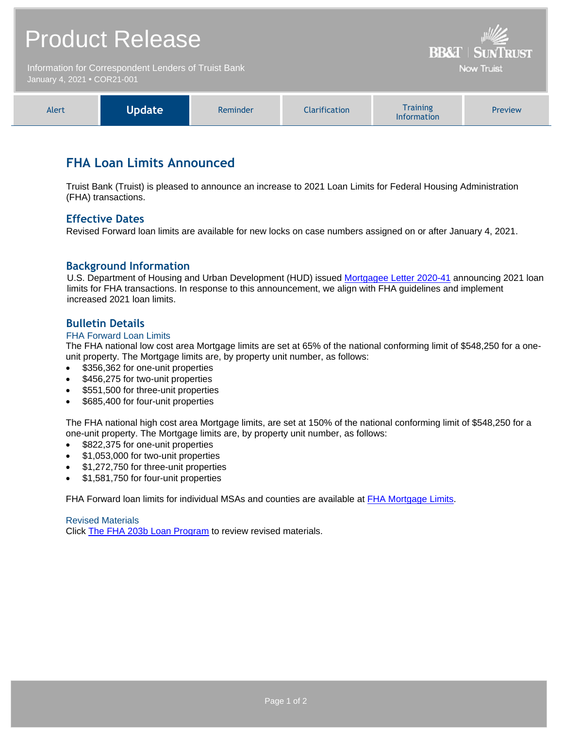# Product Release

Information for Correspondent Lenders of Truist Bank January 4, 2021 **•** COR21-001



**BR&T | SUNTRUST Now Truist** 

### **FHA Loan Limits Announced**

Truist Bank (Truist) is pleased to announce an increase to 2021 Loan Limits for Federal Housing Administration (FHA) transactions.

#### **Effective Dates**

Revised Forward loan limits are available for new locks on case numbers assigned on or after January 4, 2021.

#### **Background Information**

U.S. Department of Housing and Urban Development (HUD) issued [Mortgagee Letter 2020-41](https://www.hud.gov/sites/dfiles/OCHCO/documents/2020-41hsgml.pdf) announcing 2021 loan limits for FHA transactions. In response to this announcement, we align with FHA guidelines and implement increased 2021 loan limits.

#### **Bulletin Details**

#### FHA Forward Loan Limits

The FHA national low cost area Mortgage limits are set at 65% of the national conforming limit of \$548,250 for a oneunit property. The Mortgage limits are, by property unit number, as follows:

- \$356,362 for one-unit properties
- \$456,275 for two-unit properties
- \$551,500 for three-unit properties
- \$685,400 for four-unit properties

The FHA national high cost area Mortgage limits, are set at 150% of the national conforming limit of \$548,250 for a one-unit property. The Mortgage limits are, by property unit number, as follows:

- \$822,375 for one-unit properties
- \$1,053,000 for two-unit properties
- \$1,272,750 for three-unit properties
- \$1,581,750 for four-unit properties

FHA Forward loan limits for individual MSAs and counties are available at [FHA Mortgage Limits.](https://entp.hud.gov/idapp/html/hicostlook.cfm)

Revised Materials Click [The FHA 203b Loan Program](https://www.truistsellerguide.com/manual/cor/products/cFHA.pdf) to review revised materials.